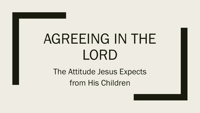# AGREEING IN THE LORD

The Attitude Jesus Expects from His Children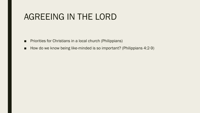#### AGREEING IN THE LORD

- Priorities for Christians in a local church (Philippians)
- How do we know being like-minded is so important? (Philippians 4:2-9)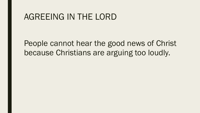#### AGREEING IN THE LORD

People cannot hear the good news of Christ because Christians are arguing too loudly.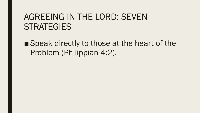■ Speak directly to those at the heart of the Problem (Philippian 4:2).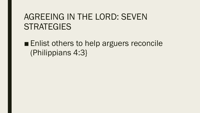■ Enlist others to help arguers reconcile (Philippians 4:3}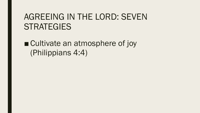■ Cultivate an atmosphere of joy (Philippians 4:4)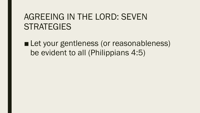■ Let your gentleness (or reasonableness) be evident to all (Philippians 4:5)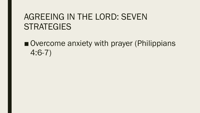■ Overcome anxiety with prayer (Philippians 4:6-7)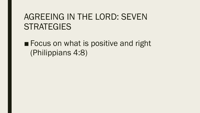■ Focus on what is positive and right (Philippians 4:8)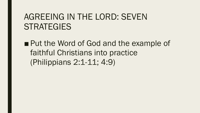■ Put the Word of God and the example of faithful Christians into practice (Philippians 2:1-11; 4:9)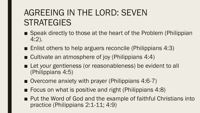- Speak directly to those at the heart of the Problem (Philippian 4:2).
- Enlist others to help arguers reconcile (Philippians 4:3)
- Cultivate an atmosphere of joy (Philippians 4:4)
- Let your gentleness (or reasonableness) be evident to all (Philippians 4:5)
- Overcome anxiety with prayer (Philippians 4:6-7)
- Focus on what is positive and right (Philippians 4:8)
- Put the Word of God and the example of faithful Christians into practice (Philippians 2:1-11; 4:9)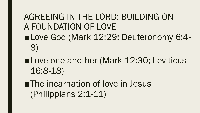## AGREEING IN THE LORD: BUILDING ON A FOUNDATION OF LOVE ■Love God (Mark 12:29: Deuteronomy 6:4-8)

- ■Love one another (Mark 12:30; Leviticus 16:8-18)
- ■The incarnation of love in Jesus (Philippians 2:1-11)